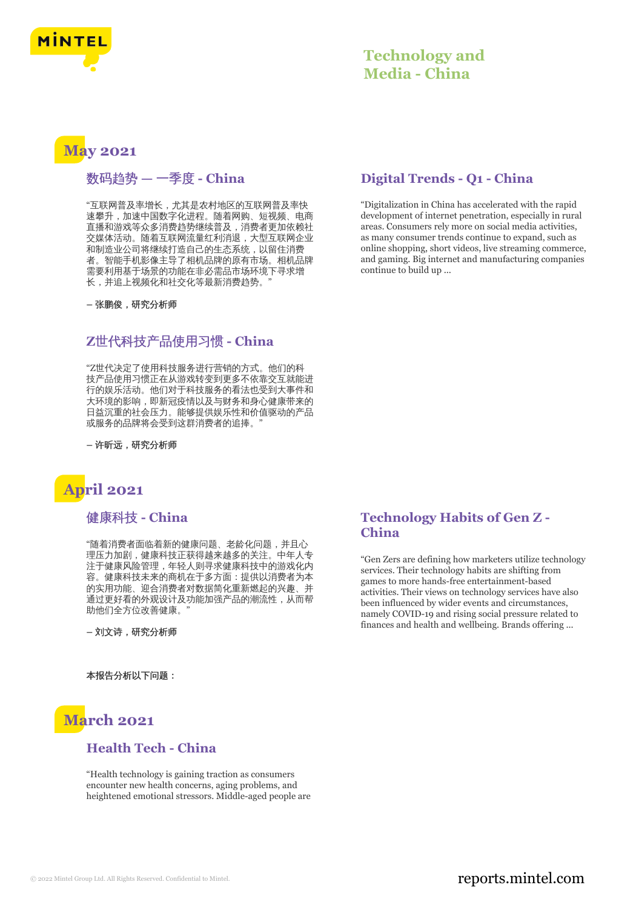

## **Technology and Media - China**

# **May 2021**

## 数码趋势 **—** 一季度 **- China**

"互联网普及率增长,尤其是农村地区的互联网普及率快 速攀升,加速中国数字化进程。随着网购、短视频、电商 直播和游戏等众多消费趋势继续普及,消费者更加依赖社 交媒体活动。随着互联网流量红利消退,大型互联网企业 和制造业公司将继续打造自己的生态系统,以留住消费 者。智能手机影像主导了相机品牌的原有市场。相机品牌 需要利用基于场景的功能在非必需品市场环境下寻求增 长,并追上视频化和社交化等最新消费趋势。

**–** 张鹏俊,研究分析师

#### **Z**世代科技产品使用习惯 **- China**

"Z世代决定了使用科技服务进行营销的方式。他们的科 技产品使用习惯正在从游戏转变到更多不依靠交互就能进 行的娱乐活动。他们对于科技服务的看法也受到大事件和 大环境的影响,即新冠疫情以及与财务和身心健康带来的 日益沉重的社会压力。能够提供娱乐性和价值驱动的产品 或服务的品牌将会受到这群消费者的追捧。"

**–** 许昕远,研究分析师

# **April 2021**

### 健康科技 **- China**

"随着消费者面临着新的健康问题、老龄化问题,并且心 理压力加剧,健康科技正获得越来越多的关注。中年人专 注于健康风险管理,年轻人则寻求健康科技中的游戏化内 容。健康科技未来的商机在于多方面:提供以消费者为本 的实用功能、迎合消费者对数据简化重新燃起的兴趣、并 通过更好看的外观设计及功能加强产品的潮流性,从而帮 助他们全方位改善健康。"

**–** 刘文诗,研究分析师

本报告分析以下问题:



#### **Health Tech - China**

"Health technology is gaining traction as consumers encounter new health concerns, aging problems, and heightened emotional stressors. Middle-aged people are

### **Digital Trends - Q1 - China**

"Digitalization in China has accelerated with the rapid development of internet penetration, especially in rural areas. Consumers rely more on social media activities, as many consumer trends continue to expand, such as online shopping, short videos, live streaming commerce, and gaming. Big internet and manufacturing companies continue to build up ...

#### **Technology Habits of Gen Z - China**

"Gen Zers are defining how marketers utilize technology services. Their technology habits are shifting from games to more hands-free entertainment-based activities. Their views on technology services have also been influenced by wider events and circumstances, namely COVID-19 and rising social pressure related to finances and health and wellbeing. Brands offering ...